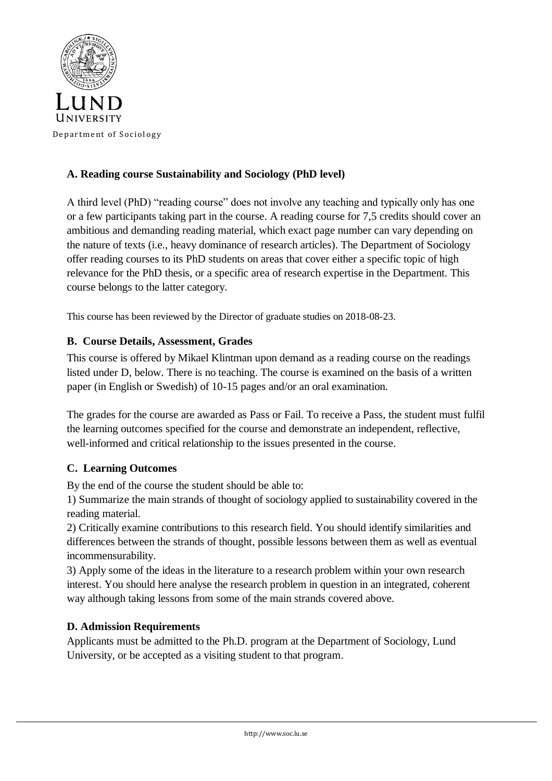

# **A. Reading course Sustainability and Sociology (PhD level)**

A third level (PhD) "reading course" does not involve any teaching and typically only has one or a few participants taking part in the course. A reading course for 7,5 credits should cover an ambitious and demanding reading material, which exact page number can vary depending on the nature of texts (i.e., heavy dominance of research articles). The Department of Sociology offer reading courses to its PhD students on areas that cover either a specific topic of high relevance for the PhD thesis, or a specific area of research expertise in the Department. This course belongs to the latter category.

This course has been reviewed by the Director of graduate studies on 2018-08-23.

## **B. Course Details, Assessment, Grades**

This course is offered by Mikael Klintman upon demand as a reading course on the readings listed under D, below. There is no teaching. The course is examined on the basis of a written paper (in English or Swedish) of 10-15 pages and/or an oral examination.

The grades for the course are awarded as Pass or Fail. To receive a Pass, the student must fulfil the learning outcomes specified for the course and demonstrate an independent, reflective, well-informed and critical relationship to the issues presented in the course.

## **C. Learning Outcomes**

By the end of the course the student should be able to:

1) Summarize the main strands of thought of sociology applied to sustainability covered in the reading material.

2) Critically examine contributions to this research field. You should identify similarities and differences between the strands of thought, possible lessons between them as well as eventual incommensurability.

3) Apply some of the ideas in the literature to a research problem within your own research interest. You should here analyse the research problem in question in an integrated, coherent way although taking lessons from some of the main strands covered above.

## **D. Admission Requirements**

Applicants must be admitted to the Ph.D. program at the Department of Sociology, Lund University, or be accepted as a visiting student to that program.